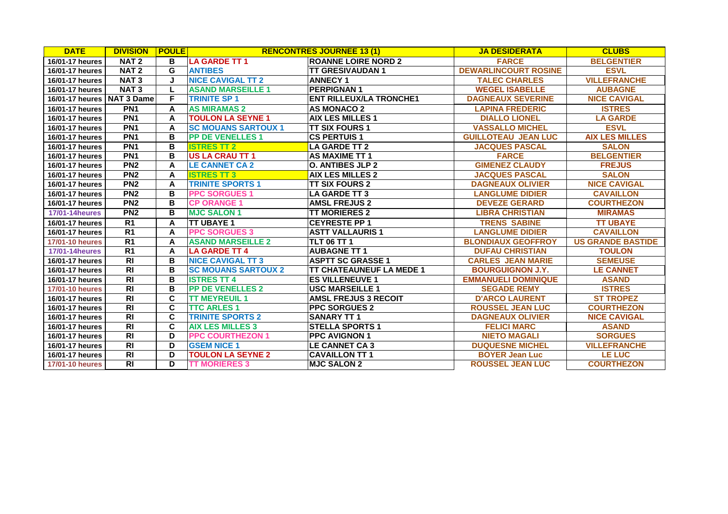| <b>DATE</b>            | <b>DIVISION</b>   | <b>POULE</b>            |                            | <b>RENCONTRES JOURNEE 13 (1)</b> | <b>JA DESIDERATA</b>        | <b>CLUBS</b>             |
|------------------------|-------------------|-------------------------|----------------------------|----------------------------------|-----------------------------|--------------------------|
| 16/01-17 heures        | NAT <sub>2</sub>  | в                       | <b>LA GARDE TT 1</b>       | <b>ROANNE LOIRE NORD 2</b>       | <b>FARCE</b>                | <b>BELGENTIER</b>        |
| 16/01-17 heures        | NAT <sub>2</sub>  | G                       | <b>ANTIBES</b>             | <b>ITT GRESIVAUDAN 1</b>         | <b>DEWARLINCOURT ROSINE</b> | <b>ESVL</b>              |
| 16/01-17 heures        | <b>NAT3</b>       | J                       | <b>NICE CAVIGAL TT 2</b>   | <b>ANNECY 1</b>                  | <b>TALEC CHARLES</b>        | <b>VILLEFRANCHE</b>      |
| 16/01-17 heures        | NAT <sub>3</sub>  | L                       | <b>ASAND MARSEILLE 1</b>   | <b>PERPIGNAN1</b>                | <b>WEGEL ISABELLE</b>       | <b>AUBAGNE</b>           |
| 16/01-17 heures        | <b>NAT 3 Dame</b> | F                       | <b>TRINITE SP 1</b>        | <b>ENT RILLEUX/LA TRONCHE1</b>   | <b>DAGNEAUX SEVERINE</b>    | <b>NICE CAVIGAL</b>      |
| 16/01-17 heures        | PN <sub>1</sub>   | A                       | <b>AS MIRAMAS 2</b>        | <b>AS MONACO 2</b>               | <b>LAPINA FREDERIC</b>      | <b>ISTRES</b>            |
| 16/01-17 heures        | PN <sub>1</sub>   | A                       | <b>TOULON LA SEYNE 1</b>   | <b>AIX LES MILLES 1</b>          | <b>DIALLO LIONEL</b>        | <b>LA GARDE</b>          |
| 16/01-17 heures        | PN <sub>1</sub>   | A                       | <b>SC MOUANS SARTOUX 1</b> | <b>TT SIX FOURS 1</b>            | <b>VASSALLO MICHEL</b>      | <b>ESVL</b>              |
| 16/01-17 heures        | PN <sub>1</sub>   | B                       | <b>PP DE VENELLES 1</b>    | <b>CS PERTUIS 1</b>              | <b>GUILLOTEAU JEAN LUC</b>  | <b>AIX LES MILLES</b>    |
| 16/01-17 heures        | PN <sub>1</sub>   | B                       | <b>ISTRES TT 2</b>         | <b>LA GARDE TT 2</b>             | <b>JACQUES PASCAL</b>       | <b>SALON</b>             |
| 16/01-17 heures        | PN <sub>1</sub>   | в                       | <b>US LA CRAU TT 1</b>     | <b>AS MAXIME TT 1</b>            | <b>FARCE</b>                | <b>BELGENTIER</b>        |
| 16/01-17 heures        | PN2               | A                       | <b>LE CANNET CA 2</b>      | <b>O. ANTIBES JLP 2</b>          | <b>GIMENEZ CLAUDY</b>       | <b>FREJUS</b>            |
| 16/01-17 heures        | PN <sub>2</sub>   | A                       | <b>ISTRES TT 3</b>         | <b>AIX LES MILLES 2</b>          | <b>JACQUES PASCAL</b>       | <b>SALON</b>             |
| 16/01-17 heures        | PN2               | A                       | <b>TRINITE SPORTS 1</b>    | <b>TT SIX FOURS 2</b>            | <b>DAGNEAUX OLIVIER</b>     | <b>NICE CAVIGAL</b>      |
| 16/01-17 heures        | PN <sub>2</sub>   | в                       | <b>PPC SORGUES 1</b>       | LA GARDE TT 3                    | <b>LANGLUME DIDIER</b>      | <b>CAVAILLON</b>         |
| 16/01-17 heures        | PN <sub>2</sub>   | B                       | <b>CP ORANGE 1</b>         | <b>AMSL FREJUS 2</b>             | <b>DEVEZE GERARD</b>        | <b>COURTHEZON</b>        |
| <b>17/01-14heures</b>  | PN <sub>2</sub>   | в                       | <b>MJC SALON 1</b>         | <b>TT MORIERES 2</b>             | <b>LIBRA CHRISTIAN</b>      | <b>MIRAMAS</b>           |
| 16/01-17 heures        | R <sub>1</sub>    | A                       | <b>TT UBAYE 1</b>          | <b>CEYRESTE PP 1</b>             | <b>TRENS SABINE</b>         | <b>TT UBAYE</b>          |
| 16/01-17 heures        | R <sub>1</sub>    | A                       | <b>PPC SORGUES 3</b>       | <b>ASTT VALLAURIS 1</b>          | <b>LANGLUME DIDIER</b>      | <b>CAVAILLON</b>         |
| <b>17/01-10 heures</b> | $\overline{R1}$   | A                       | <b>ASAND MARSEILLE 2</b>   | <b>TLT 06 TT 1</b>               | <b>BLONDIAUX GEOFFROY</b>   | <b>US GRANDE BASTIDE</b> |
| <b>17/01-14heures</b>  | R <sub>1</sub>    | A                       | <b>LA GARDE TT 4</b>       | <b>AUBAGNE TT 1</b>              | <b>DUFAU CHRISTIAN</b>      | <b>TOULON</b>            |
| 16/01-17 heures        | R <sub>l</sub>    | B                       | <b>NICE CAVIGAL TT 3</b>   | <b>ASPTT SC GRASSE 1</b>         | <b>CARLES JEAN MARIE</b>    | <b>SEMEUSE</b>           |
| 16/01-17 heures        | $\overline{RI}$   | B                       | <b>SC MOUANS SARTOUX 2</b> | <b>TT CHATEAUNEUF LA MEDE 1</b>  | <b>BOURGUIGNON J.Y.</b>     | <b>LE CANNET</b>         |
| 16/01-17 heures        | RI                | $\overline{\mathsf{B}}$ | <b>ISTRES TT 4</b>         | <b>ES VILLENEUVE 1</b>           | <b>EMMANUELI DOMINIQUE</b>  | <b>ASAND</b>             |
| 17/01-10 heures        | RI                | B                       | <b>PP DE VENELLES 2</b>    | <b>USC MARSEILLE 1</b>           | <b>SEGADE REMY</b>          | <b>ISTRES</b>            |
| 16/01-17 heures        | $\overline{R}$    | C                       | <b>TT MEYREUIL 1</b>       | <b>AMSL FREJUS 3 RECOIT</b>      | <b>D'ARCO LAURENT</b>       | <b>ST TROPEZ</b>         |
| 16/01-17 heures        | RI                | C                       | <b>TTC ARLES 1</b>         | <b>PPC SORGUES 2</b>             | <b>ROUSSEL JEAN LUC</b>     | <b>COURTHEZON</b>        |
| 16/01-17 heures        | RI                | $\mathbf c$             | <b>TRINITE SPORTS 2</b>    | <b>SANARY TT1</b>                | <b>DAGNEAUX OLIVIER</b>     | <b>NICE CAVIGAL</b>      |
| 16/01-17 heures        | $\overline{RI}$   | C                       | <b>AIX LES MILLES 3</b>    | <b>ISTELLA SPORTS 1</b>          | <b>FELICI MARC</b>          | <b>ASAND</b>             |
| 16/01-17 heures        | R <sub>l</sub>    | D                       | <b>PPC COURTHEZON 1</b>    | <b>PPC AVIGNON 1</b>             | <b>NIETO MAGALI</b>         | <b>SORGUES</b>           |
| 16/01-17 heures        | R <sub>l</sub>    | D                       | <b>GSEM NICE 1</b>         | <b>LE CANNET CA 3</b>            | <b>DUQUESNE MICHEL</b>      | <b>VILLEFRANCHE</b>      |
| 16/01-17 heures        | R <sub>l</sub>    | D                       | <b>TOULON LA SEYNE 2</b>   | <b>CAVAILLON TT 1</b>            | <b>BOYER Jean Luc</b>       | <b>LE LUC</b>            |
| 17/01-10 heures        | R <sub>l</sub>    | D                       | <b>TT MORIERES 3</b>       | <b>MJC SALON 2</b>               | <b>ROUSSEL JEAN LUC</b>     | <b>COURTHEZON</b>        |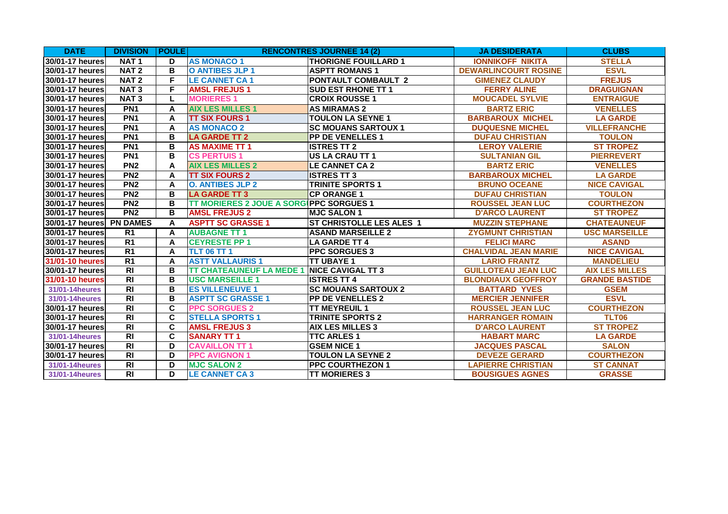| <b>DATE</b>              | <b>DIVISION</b>  | <b>POULE</b> |                                         | <b>RENCONTRES JOURNEE 14 (2)</b> | <b>JA DESIDERATA</b>        | <b>CLUBS</b>          |
|--------------------------|------------------|--------------|-----------------------------------------|----------------------------------|-----------------------------|-----------------------|
| 30/01-17 heures          | NAT <sub>1</sub> | D            | <b>AS MONACO 1</b>                      | <b>THORIGNE FOUILLARD 1</b>      | <b>IONNIKOFF NIKITA</b>     | <b>STELLA</b>         |
| 30/01-17 heures          | NAT <sub>2</sub> | B            | O ANTIBES JLP 1                         | <b>ASPTT ROMANS 1</b>            | <b>DEWARLINCOURT ROSINE</b> | <b>ESVL</b>           |
| 30/01-17 heures          | NAT <sub>2</sub> | F            | <b>LE CANNET CA1</b>                    | <b>PONTAULT COMBAULT 2</b>       | <b>GIMENEZ CLAUDY</b>       | <b>FREJUS</b>         |
| 30/01-17 heures          | <b>NAT3</b>      | F            | <b>AMSL FREJUS1</b>                     | <b>SUD EST RHONE TT 1</b>        | <b>FERRY ALINE</b>          | <b>DRAGUIGNAN</b>     |
| 30/01-17 heures          | NAT <sub>3</sub> | L            | <b>MORIERES 1</b>                       | <b>ICROIX ROUSSE 1</b>           | <b>MOUCADEL SYLVIE</b>      | <b>ENTRAIGUE</b>      |
| 30/01-17 heures          | PN <sub>1</sub>  | A            | <b>AIX LES MILLES 1</b>                 | <b>AS MIRAMAS 2</b>              | <b>BARTZ ERIC</b>           | <b>VENELLES</b>       |
| 30/01-17 heures          | PN <sub>1</sub>  | A            | <b>TT SIX FOURS 1</b>                   | <b>TOULON LA SEYNE 1</b>         | <b>BARBAROUX MICHEL</b>     | <b>LA GARDE</b>       |
| 30/01-17 heures          | PN <sub>1</sub>  | A            | <b>AS MONACO 2</b>                      | <b>SC MOUANS SARTOUX 1</b>       | <b>DUQUESNE MICHEL</b>      | <b>VILLEFRANCHE</b>   |
| 30/01-17 heures          | PN <sub>1</sub>  | B            | <b>LA GARDE TT 2</b>                    | <b>PP DE VENELLES 1</b>          | <b>DUFAU CHRISTIAN</b>      | <b>TOULON</b>         |
| 30/01-17 heures          | PN <sub>1</sub>  | B            | <b>AS MAXIME TT 1</b>                   | <b>ISTRES TT 2</b>               | <b>LEROY VALERIE</b>        | <b>ST TROPEZ</b>      |
| 30/01-17 heures          | PN <sub>1</sub>  | B            | <b>CS PERTUIS 1</b>                     | <b>IUS LA CRAU TT 1</b>          | <b>SULTANIAN GIL</b>        | <b>PIERREVERT</b>     |
| <b>30/01-17 heures</b>   | PN <sub>2</sub>  | A            | <b>AIX LES MILLES 2</b>                 | LE CANNET CA 2                   | <b>BARTZ ERIC</b>           | <b>VENELLES</b>       |
| 30/01-17 heures          | PN <sub>2</sub>  | A            | <b>TT SIX FOURS 2</b>                   | <b>ISTRES TT 3</b>               | <b>BARBAROUX MICHEL</b>     | <b>LA GARDE</b>       |
| 30/01-17 heures          | PN <sub>2</sub>  | A            | <b>O. ANTIBES JLP 2</b>                 | <b>TRINITE SPORTS 1</b>          | <b>BRUNO OCEANE</b>         | <b>NICE CAVIGAL</b>   |
| 30/01-17 heures          | PN <sub>2</sub>  | B            | <b>LA GARDE TT 3</b>                    | <b>CP ORANGE 1</b>               | <b>DUFAU CHRISTIAN</b>      | <b>TOULON</b>         |
| 30/01-17 heures          | PN2              | B            | TT MORIERES 2 JOUE A SORGIPPC SORGUES 1 |                                  | <b>ROUSSEL JEAN LUC</b>     | <b>COURTHEZON</b>     |
| 30/01-17 heures          | PN <sub>2</sub>  | B            | <b>AMSL FREJUS 2</b>                    | <b>MJC SALON1</b>                | <b>D'ARCO LAURENT</b>       | <b>ST TROPEZ</b>      |
| 30/01-17 heures PN DAMES |                  | A            | <b>ASPTT SC GRASSE 1</b>                | <b>ST CHRISTOLLE LES ALES 1</b>  | <b>MUZZIN STEPHANE</b>      | <b>CHATEAUNEUF</b>    |
| 30/01-17 heures          | R <sub>1</sub>   | A            | <b>AUBAGNE TT 1</b>                     | <b>ASAND MARSEILLE 2</b>         | <b>ZYGMUNT CHRISTIAN</b>    | <b>USC MARSEILLE</b>  |
| 30/01-17 heures          | R <sub>1</sub>   | A            | <b>CEYRESTE PP 1</b>                    | <b>LA GARDE TT 4</b>             | <b>FELICI MARC</b>          | <b>ASAND</b>          |
| <b>30/01-17 heures</b>   | R <sub>1</sub>   | A            | <b>TLT 06 TT 1</b>                      | <b>PPC SORGUES 3</b>             | <b>CHALVIDAL JEAN MARIE</b> | <b>NICE CAVIGAL</b>   |
| 31/01-10 heures          | $\overline{R1}$  | A            | <b>ASTT VALLAURIS 1</b>                 | <b>TT UBAYE 1</b>                | <b>LARIO FRANTZ</b>         | <b>MANDELIEU</b>      |
| 30/01-17 heures          | R <sub>l</sub>   | B            | <b>TT CHATEAUNEUF LA MEDE 1</b>         | <b>INICE CAVIGAL TT 3</b>        | <b>GUILLOTEAU JEAN LUC</b>  | <b>AIX LES MILLES</b> |
| 31/01-10 heures          | RI               | B            | <b>USC MARSEILLE 1</b>                  | <b>ISTRES TT 4</b>               | <b>BLONDIAUX GEOFFROY</b>   | <b>GRANDE BASTIDE</b> |
| 31/01-14 heures          | R <sub>l</sub>   | B            | <b>ES VILLENEUVE 1</b>                  | <b>SC MOUANS SARTOUX 2</b>       | <b>BATTARD YVES</b>         | <b>GSEM</b>           |
| 31/01-14 heures          | $\overline{RI}$  | B            | <b>ASPTT SC GRASSE 1</b>                | <b>PP DE VENELLES 2</b>          | <b>MERCIER JENNIFER</b>     | <b>ESVL</b>           |
| 30/01-17 heures          | $\overline{RI}$  | C            | <b>PPC SORGUES 2</b>                    | <b>TT MEYREUIL 1</b>             | <b>ROUSSEL JEAN LUC</b>     | <b>COURTHEZON</b>     |
| 30/01-17 heures          | R <sub>l</sub>   | C            | <b>STELLA SPORTS 1</b>                  | <b>TRINITE SPORTS 2</b>          | <b>HARRANGER ROMAIN</b>     | TLT06                 |
| 30/01-17 heures          | R <sub>l</sub>   | C            | <b>AMSL FREJUS 3</b>                    | <b>AIX LES MILLES 3</b>          | <b>D'ARCO LAURENT</b>       | <b>ST TROPEZ</b>      |
| 31/01-14 heures          | $\overline{R}$   | C            | <b>SANARY TT1</b>                       | <b>ITTC ARLES 1</b>              | <b>HABART MARC</b>          | <b>LA GARDE</b>       |
| 30/01-17 heures          | $\overline{R}$   | D            | <b>CAVAILLON TT 1</b>                   | <b>GSEM NICE 1</b>               | <b>JACQUES PASCAL</b>       | <b>SALON</b>          |
| 30/01-17 heures          | $\overline{R}$   | D            | <b>PPC AVIGNON 1</b>                    | <b>TOULON LA SEYNE 2</b>         | <b>DEVEZE GERARD</b>        | <b>COURTHEZON</b>     |
| 31/01-14 heures          | R <sub>l</sub>   | D            | <b>MJC SALON 2</b>                      | <b>PPC COURTHEZON 1</b>          | <b>LAPIERRE CHRISTIAN</b>   | <b>ST CANNAT</b>      |
| 31/01-14 heures          | R <sub>l</sub>   | D            | <b>LE CANNET CA 3</b>                   | <b>TT MORIERES 3</b>             | <b>BOUSIGUES AGNES</b>      | <b>GRASSE</b>         |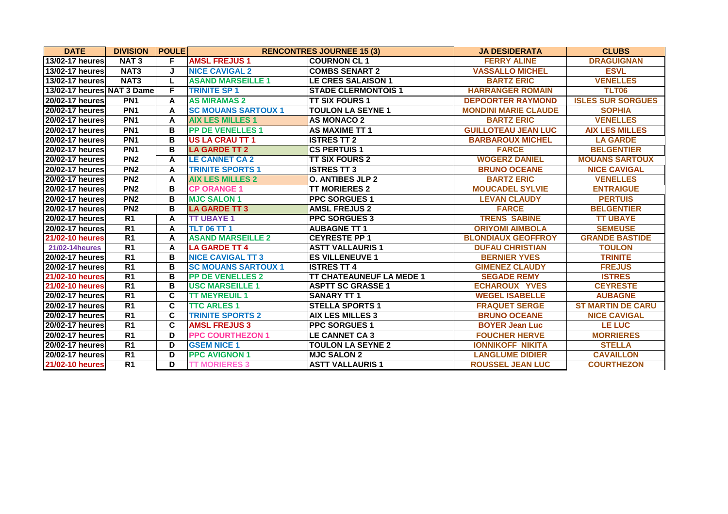| <b>DATE</b>                | <b>DIVISION</b>  | <b>POULE</b> |                            | <b>RENCONTRES JOURNEE 15 (3)</b> | <b>JA DESIDERATA</b>        | <b>CLUBS</b>             |
|----------------------------|------------------|--------------|----------------------------|----------------------------------|-----------------------------|--------------------------|
| 13/02-17 heures            | <b>NAT3</b>      | F            | <b>AMSL FREJUS1</b>        | <b>COURNON CL 1</b>              | <b>FERRY ALINE</b>          | <b>DRAGUIGNAN</b>        |
| 13/02-17 heures            | NAT <sub>3</sub> | J            | <b>NICE CAVIGAL 2</b>      | <b>COMBS SENART 2</b>            | <b>VASSALLO MICHEL</b>      | <b>ESVL</b>              |
| 13/02-17 heures            | NAT <sub>3</sub> | L            | <b>ASAND MARSEILLE 1</b>   | <b>LE CRES SALAISON 1</b>        | <b>BARTZ ERIC</b>           | <b>VENELLES</b>          |
| 13/02-17 heures NAT 3 Dame |                  | F            | <b>TRINITE SP 1</b>        | <b>STADE CLERMONTOIS 1</b>       | <b>HARRANGER ROMAIN</b>     | TLT06                    |
| 20/02-17 heures            | PN <sub>1</sub>  | A            | <b>AS MIRAMAS 2</b>        | <b>ITT SIX FOURS 1</b>           | <b>DEPOORTER RAYMOND</b>    | <b>ISLES SUR SORGUES</b> |
| 20/02-17 heures            | PN <sub>1</sub>  | A            | <b>SC MOUANS SARTOUX 1</b> | <b>TOULON LA SEYNE 1</b>         | <b>MONDINI MARIE CLAUDE</b> | <b>SOPHIA</b>            |
| <b>20/02-17 heures</b>     | PN <sub>1</sub>  | A            | <b>AIX LES MILLES 1</b>    | <b>AS MONACO 2</b>               | <b>BARTZ ERIC</b>           | <b>VENELLES</b>          |
| <b>20/02-17 heures</b>     | PN <sub>1</sub>  | В            | <b>PP DE VENELLES 1</b>    | <b>AS MAXIME TT 1</b>            | <b>GUILLOTEAU JEAN LUC</b>  | <b>AIX LES MILLES</b>    |
| 20/02-17 heures            | PN <sub>1</sub>  | B            | <b>US LA CRAU TT 1</b>     | <b>ISTRES TT 2</b>               | <b>BARBAROUX MICHEL</b>     | <b>LA GARDE</b>          |
| 20/02-17 heures            | PN <sub>1</sub>  | B            | <b>LA GARDE TT 2</b>       | <b>ICS PERTUIS 1</b>             | <b>FARCE</b>                | <b>BELGENTIER</b>        |
| 20/02-17 heures            | PN <sub>2</sub>  | A            | <b>LE CANNET CA 2</b>      | <b>ITT SIX FOURS 2</b>           | <b>WOGERZ DANIEL</b>        | <b>MOUANS SARTOUX</b>    |
| 20/02-17 heures            | PN <sub>2</sub>  | A            | <b>TRINITE SPORTS 1</b>    | <b>ISTRES TT 3</b>               | <b>BRUNO OCEANE</b>         | <b>NICE CAVIGAL</b>      |
| 20/02-17 heures            | PN <sub>2</sub>  | A            | <b>AIX LES MILLES 2</b>    | O. ANTIBES JLP 2                 | <b>BARTZ ERIC</b>           | <b>VENELLES</b>          |
| 20/02-17 heures            | PN <sub>2</sub>  | B            | <b>CP ORANGE 1</b>         | <b>TT MORIERES 2</b>             | <b>MOUCADEL SYLVIE</b>      | <b>ENTRAIGUE</b>         |
| <b>20/02-17 heures</b>     | PN <sub>2</sub>  | B            | <b>MJC SALON 1</b>         | <b>IPPC SORGUES 1</b>            | <b>LEVAN CLAUDY</b>         | <b>PERTUIS</b>           |
| 20/02-17 heures            | PN <sub>2</sub>  | B            | <b>LA GARDE TT 3</b>       | <b>AMSL FREJUS 2</b>             | <b>FARCE</b>                | <b>BELGENTIER</b>        |
| 20/02-17 heures            | $\overline{R1}$  | A            | <b>TT UBAYE 1</b>          | <b>PPC SORGUES 3</b>             | <b>TRENS SABINE</b>         | <b>TT UBAYE</b>          |
| 20/02-17 heures            | $\overline{R1}$  | A            | TLT 06 TT 1                | <b>AUBAGNE TT 1</b>              | <b>ORIYOMI AIMBOLA</b>      | <b>SEMEUSE</b>           |
| 21/02-10 heures            | R <sub>1</sub>   | A            | <b>ASAND MARSEILLE 2</b>   | <b>ICEYRESTE PP 1</b>            | <b>BLONDIAUX GEOFFROY</b>   | <b>GRANDE BASTIDE</b>    |
| 21/02-14 heures            | $\overline{R1}$  | A            | <b>LA GARDE TT 4</b>       | <b>ASTT VALLAURIS 1</b>          | <b>DUFAU CHRISTIAN</b>      | <b>TOULON</b>            |
| 20/02-17 heures            | R <sub>1</sub>   | B            | <b>NICE CAVIGAL TT 3</b>   | <b>ES VILLENEUVE 1</b>           | <b>BERNIER YVES</b>         | <b>TRINITE</b>           |
| 20/02-17 heures            | R <sub>1</sub>   | B            | <b>SC MOUANS SARTOUX 1</b> | <b>ISTRES TT 4</b>               | <b>GIMENEZ CLAUDY</b>       | <b>FREJUS</b>            |
| 21/02-10 heures            | $\overline{R1}$  | B            | <b>PP DE VENELLES 2</b>    | <b>TT CHATEAUNEUF LA MEDE 1</b>  | <b>SEGADE REMY</b>          | <b>ISTRES</b>            |
| 21/02-10 heures            | R <sub>1</sub>   | B            | <b>USC MARSEILLE 1</b>     | <b>ASPTT SC GRASSE 1</b>         | <b>ECHAROUX YVES</b>        | <b>CEYRESTE</b>          |
| 20/02-17 heures            | R <sub>1</sub>   | C            | <b>TT MEYREUIL 1</b>       | <b>SANARY TT 1</b>               | <b>WEGEL ISABELLE</b>       | <b>AUBAGNE</b>           |
| 20/02-17 heures            | $\overline{R1}$  | C            | <b>TTC ARLES 1</b>         | <b>STELLA SPORTS 1</b>           | <b>FRAQUET SERGE</b>        | <b>ST MARTIN DE CARU</b> |
| 20/02-17 heures            | R <sub>1</sub>   | C            | <b>TRINITE SPORTS 2</b>    | <b>AIX LES MILLES 3</b>          | <b>BRUNO OCEANE</b>         | <b>NICE CAVIGAL</b>      |
| <b>20/02-17 heures</b>     | R <sub>1</sub>   | C            | <b>AMSL FREJUS 3</b>       | <b>PPC SORGUES 1</b>             | <b>BOYER Jean Luc</b>       | <b>LE LUC</b>            |
| 20/02-17 heures            | R <sub>1</sub>   | D            | <b>PPC COURTHEZON 1</b>    | <b>LE CANNET CA 3</b>            | <b>FOUCHER HERVE</b>        | <b>MORRIERES</b>         |
| 20/02-17 heures            | R <sub>1</sub>   | D            | <b>GSEM NICE 1</b>         | <b>TOULON LA SEYNE 2</b>         | <b>IONNIKOFF NIKITA</b>     | <b>STELLA</b>            |
| 20/02-17 heures            | R <sub>1</sub>   | D            | <b>PPC AVIGNON 1</b>       | <b>MJC SALON 2</b>               | <b>LANGLUME DIDIER</b>      | <b>CAVAILLON</b>         |
| 21/02-10 heures            | R <sub>1</sub>   | D            | <b>TT MORIERES 3</b>       | <b>ASTT VALLAURIS 1</b>          | <b>ROUSSEL JEAN LUC</b>     | <b>COURTHEZON</b>        |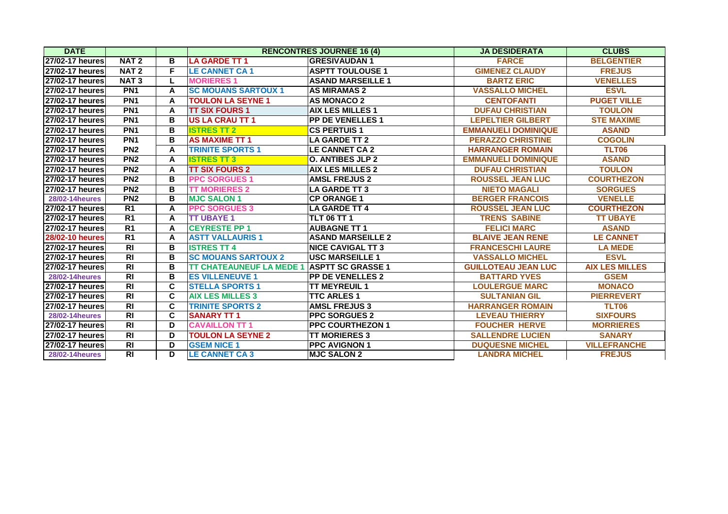| <b>DATE</b>            |                  |   |                                 | <b>RENCONTRES JOURNEE 16 (4)</b> | <b>JA DESIDERATA</b>       | <b>CLUBS</b>          |
|------------------------|------------------|---|---------------------------------|----------------------------------|----------------------------|-----------------------|
| 27/02-17 heures        | NAT <sub>2</sub> | в | <b>LA GARDE TT 1</b>            | <b>GRESIVAUDAN1</b>              | <b>FARCE</b>               | <b>BELGENTIER</b>     |
| 27/02-17 heures        | NAT <sub>2</sub> | F | <b>LE CANNET CA1</b>            | <b>ASPTT TOULOUSE 1</b>          | <b>GIMENEZ CLAUDY</b>      | <b>FREJUS</b>         |
| 27/02-17 heures        | <b>NAT3</b>      | L | <b>MORIERES1</b>                | <b>ASAND MARSEILLE 1</b>         | <b>BARTZ ERIC</b>          | <b>VENELLES</b>       |
| 27/02-17 heures        | PN <sub>1</sub>  | A | <b>SC MOUANS SARTOUX 1</b>      | <b>AS MIRAMAS 2</b>              | <b>VASSALLO MICHEL</b>     | <b>ESVL</b>           |
| 27/02-17 heures        | PN <sub>1</sub>  | A | <b>TOULON LA SEYNE 1</b>        | <b>AS MONACO 2</b>               | <b>CENTOFANTI</b>          | <b>PUGET VILLE</b>    |
| 27/02-17 heures        | PN <sub>1</sub>  | A | <b>TT SIX FOURS 1</b>           | <b>AIX LES MILLES 1</b>          | <b>DUFAU CHRISTIAN</b>     | <b>TOULON</b>         |
| 27/02-17 heures        | PN <sub>1</sub>  | B | <b>US LA CRAU TT 1</b>          | <b>PP DE VENELLES 1</b>          | <b>LEPELTIER GILBERT</b>   | <b>STE MAXIME</b>     |
| 27/02-17 heures        | PN <sub>1</sub>  | B | <b>ISTRES TT 2</b>              | <b>CS PERTUIS 1</b>              | <b>EMMANUELI DOMINIQUE</b> | <b>ASAND</b>          |
| 27/02-17 heures        | PN <sub>1</sub>  | B | <b>AS MAXIME TT 1</b>           | <b>LA GARDE TT 2</b>             | <b>PERAZZO CHRISTINE</b>   | <b>COGOLIN</b>        |
| <b>27/02-17 heures</b> | PN <sub>2</sub>  | A | <b>TRINITE SPORTS 1</b>         | <b>LE CANNET CA 2</b>            | <b>HARRANGER ROMAIN</b>    | TLT06                 |
| 27/02-17 heures        | PN <sub>2</sub>  | A | <b>ISTRES TT 3</b>              | <b>O. ANTIBES JLP 2</b>          | <b>EMMANUELI DOMINIQUE</b> | <b>ASAND</b>          |
| 27/02-17 heures        | PN <sub>2</sub>  | A | <b>TT SIX FOURS 2</b>           | <b>AIX LES MILLES 2</b>          | <b>DUFAU CHRISTIAN</b>     | <b>TOULON</b>         |
| 27/02-17 heures        | <b>PN2</b>       | B | <b>PPC SORGUES 1</b>            | <b>AMSL FREJUS 2</b>             | <b>ROUSSEL JEAN LUC</b>    | <b>COURTHEZON</b>     |
| 27/02-17 heures        | PN <sub>2</sub>  | B | <b>TT MORIERES 2</b>            | <b>LA GARDE TT 3</b>             | <b>NIETO MAGALI</b>        | <b>SORGUES</b>        |
| <b>28/02-14 heures</b> | PN <sub>2</sub>  | B | <b>MJC SALON 1</b>              | <b>CP ORANGE 1</b>               | <b>BERGER FRANCOIS</b>     | <b>VENELLE</b>        |
| 27/02-17 heures        | $\overline{R1}$  | A | <b>PPC SORGUES 3</b>            | <b>LA GARDE TT 4</b>             | <b>ROUSSEL JEAN LUC</b>    | <b>COURTHEZON</b>     |
| 27/02-17 heures        | $\overline{R1}$  | A | <b>TT UBAYE 1</b>               | <b>TLT 06 TT 1</b>               | <b>TRENS SABINE</b>        | <b>TT UBAYE</b>       |
| 27/02-17 heures        | R <sub>1</sub>   | A | <b>CEYRESTE PP 1</b>            | <b>AUBAGNE TT 1</b>              | <b>FELICI MARC</b>         | <b>ASAND</b>          |
| 28/02-10 heures        | R <sub>1</sub>   | A | <b>ASTT VALLAURIS 1</b>         | <b>ASAND MARSEILLE 2</b>         | <b>BLAIVE JEAN RENE</b>    | <b>LE CANNET</b>      |
| 27/02-17 heures        | <b>RI</b>        | B | <b>ISTRES TT 4</b>              | <b>NICE CAVIGAL TT 3</b>         | <b>FRANCESCHI LAURE</b>    | <b>LA MEDE</b>        |
| 27/02-17 heures        | R <sub>l</sub>   | B | <b>SC MOUANS SARTOUX 2</b>      | <b>USC MARSEILLE 1</b>           | <b>VASSALLO MICHEL</b>     | <b>ESVL</b>           |
| $27/02-17$ heures      | $\overline{R}$   | B | <b>TT CHATEAUNEUF LA MEDE 1</b> | <b>ASPTT SC GRASSE 1</b>         | <b>GUILLOTEAU JEAN LUC</b> | <b>AIX LES MILLES</b> |
| <b>28/02-14 heures</b> | <b>RI</b>        | B | <b>ES VILLENEUVE 1</b>          | <b>PP DE VENELLES 2</b>          | <b>BATTARD YVES</b>        | <b>GSEM</b>           |
| 27/02-17 heures        | R <sub>l</sub>   | C | <b>STELLA SPORTS 1</b>          | <b>TT MEYREUIL 1</b>             | <b>LOULERGUE MARC</b>      | <b>MONACO</b>         |
| <b>27/02-17 heures</b> | R <sub>l</sub>   | C | <b>AIX LES MILLES 3</b>         | <b>TTC ARLES 1</b>               | <b>SULTANIAN GIL</b>       | <b>PIERREVERT</b>     |
| 27/02-17 heures        | <b>RI</b>        | C | <b>TRINITE SPORTS 2</b>         | <b>AMSL FREJUS 3</b>             | <b>HARRANGER ROMAIN</b>    | TLT06                 |
| <b>28/02-14 heures</b> | <b>RI</b>        | C | <b>SANARY TT1</b>               | <b>PPC SORGUES 2</b>             | <b>LEVEAU THIERRY</b>      | <b>SIXFOURS</b>       |
| 27/02-17 heures        | <b>RI</b>        | D | <b>CAVAILLON TT 1</b>           | <b>PPC COURTHEZON 1</b>          | <b>FOUCHER HERVE</b>       | <b>MORRIERES</b>      |
| <b>27/02-17 heures</b> | <b>RI</b>        | D | <b>TOULON LA SEYNE 2</b>        | <b>TT MORIERES 3</b>             | <b>SALLENDRE LUCIEN</b>    | <b>SANARY</b>         |
| 27/02-17 heures        | R <sub>l</sub>   | D | <b>GSEM NICE 1</b>              | <b>PPC AVIGNON 1</b>             | <b>DUQUESNE MICHEL</b>     | <b>VILLEFRANCHE</b>   |
| <b>28/02-14 heures</b> | R <sub>l</sub>   | D | <b>LE CANNET CA3</b>            | <b>MJC SALON 2</b>               | <b>LANDRA MICHEL</b>       | <b>FREJUS</b>         |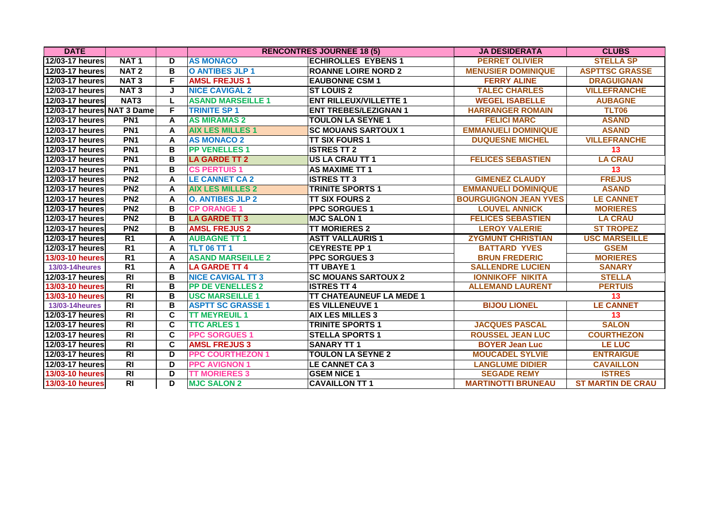| <b>DATE</b>                |                  |                         |                          | <b>RENCONTRES JOURNEE 18 (5)</b> | <b>JA DESIDERATA</b>         | <b>CLUBS</b>             |
|----------------------------|------------------|-------------------------|--------------------------|----------------------------------|------------------------------|--------------------------|
| 12/03-17 heures            | <b>NAT1</b>      | D                       | <b>AS MONACO</b>         | <b>ECHIROLLES EYBENS 1</b>       | <b>PERRET OLIVIER</b>        | <b>STELLA SP</b>         |
| 12/03-17 heures            | NAT <sub>2</sub> | B                       | <b>O ANTIBES JLP 1</b>   | <b>ROANNE LOIRE NORD 2</b>       | <b>MENUSIER DOMINIQUE</b>    | <b>ASPTTSC GRASSE</b>    |
| 12/03-17 heures            | NAT <sub>3</sub> | F                       | <b>AMSL FREJUS1</b>      | <b>EAUBONNE CSM 1</b>            | <b>FERRY ALINE</b>           | <b>DRAGUIGNAN</b>        |
| 12/03-17 heures            | <b>NAT3</b>      | J                       | <b>NICE CAVIGAL 2</b>    | <b>ST LOUIS 2</b>                | <b>TALEC CHARLES</b>         | <b>VILLEFRANCHE</b>      |
| 12/03-17 heures            | NAT <sub>3</sub> | L                       | <b>ASAND MARSEILLE 1</b> | <b>ENT RILLEUX/VILLETTE 1</b>    | <b>WEGEL ISABELLE</b>        | <b>AUBAGNE</b>           |
| 12/03-17 heures NAT 3 Dame |                  | F                       | <b>TRINITE SP 1</b>      | <b>ENT TREBES/LEZIGNAN 1</b>     | <b>HARRANGER ROMAIN</b>      | TLT06                    |
| 12/03-17 heures            | PN <sub>1</sub>  | A                       | <b>AS MIRAMAS 2</b>      | <b>TOULON LA SEYNE 1</b>         | <b>FELICI MARC</b>           | <b>ASAND</b>             |
| 12/03-17 heures            | PN <sub>1</sub>  | A                       | <b>AIX LES MILLES 1</b>  | <b>ISC MOUANS SARTOUX 1</b>      | <b>EMMANUELI DOMINIQUE</b>   | <b>ASAND</b>             |
| 12/03-17 heures            | PN <sub>1</sub>  | A                       | <b>AS MONACO 2</b>       | <b>TT SIX FOURS 1</b>            | <b>DUQUESNE MICHEL</b>       | <b>VILLEFRANCHE</b>      |
| 12/03-17 heures            | PN <sub>1</sub>  | B                       | <b>PP VENELLES 1</b>     | <b>ISTRES TT 2</b>               |                              | 13                       |
| 12/03-17 heures            | PN <sub>1</sub>  | B                       | <b>LA GARDE TT 2</b>     | <b>US LA CRAU TT 1</b>           | <b>FELICES SEBASTIEN</b>     | <b>LA CRAU</b>           |
| 12/03-17 heures            | PN <sub>1</sub>  | B                       | <b>CS PERTUIS 1</b>      | <b>AS MAXIME TT 1</b>            |                              | 13                       |
| 12/03-17 heures            | PN <sub>2</sub>  | A                       | <b>LE CANNET CA 2</b>    | <b>ISTRES TT 3</b>               | <b>GIMENEZ CLAUDY</b>        | <b>FREJUS</b>            |
| 12/03-17 heures            | PN <sub>2</sub>  | A                       | <b>AIX LES MILLES 2</b>  | <b>TRINITE SPORTS 1</b>          | <b>EMMANUELI DOMINIQUE</b>   | <b>ASAND</b>             |
| 12/03-17 heures            | PN <sub>2</sub>  | A                       | <b>O. ANTIBES JLP 2</b>  | <b>TT SIX FOURS 2</b>            | <b>BOURGUIGNON JEAN YVES</b> | <b>LE CANNET</b>         |
| 12/03-17 heures            | PN <sub>2</sub>  | B                       | <b>CP ORANGE 1</b>       | <b>PPC SORGUES 1</b>             | <b>LOUVEL ANNICK</b>         | <b>MORIERES</b>          |
| 12/03-17 heures            | PN <sub>2</sub>  | B                       | <b>LA GARDE TT 3</b>     | <b>MJC SALON 1</b>               | <b>FELICES SEBASTIEN</b>     | <b>LA CRAU</b>           |
| 12/03-17 heures            | PN <sub>2</sub>  | B                       | <b>AMSL FREJUS 2</b>     | <b>TT MORIERES 2</b>             | <b>LEROY VALERIE</b>         | <b>ST TROPEZ</b>         |
| 12/03-17 heures            | R1               | A                       | <b>AUBAGNE TT 1</b>      | <b>ASTT VALLAURIS 1</b>          | <b>ZYGMUNT CHRISTIAN</b>     | <b>USC MARSEILLE</b>     |
| 12/03-17 heures            | R <sub>1</sub>   | A                       | <b>TLT 06 TT 1</b>       | <b>CEYRESTE PP 1</b>             | <b>BATTARD YVES</b>          | <b>GSEM</b>              |
| 13/03-10 heures            | R <sub>1</sub>   | A                       | <b>ASAND MARSEILLE 2</b> | <b>PPC SORGUES 3</b>             | <b>BRUN FREDERIC</b>         | <b>MORIERES</b>          |
| <b>13/03-14 heures</b>     | R <sub>1</sub>   | A                       | <b>LA GARDE TT 4</b>     | <b>TT UBAYE 1</b>                | <b>SALLENDRE LUCIEN</b>      | <b>SANARY</b>            |
| 12/03-17 heures            | $\overline{RI}$  | B                       | <b>NICE CAVIGAL TT 3</b> | <b>SC MOUANS SARTOUX 2</b>       | <b>IONNIKOFF NIKITA</b>      | <b>STELLA</b>            |
| 13/03-10 heures            | $\overline{RI}$  | B                       | <b>PP DE VENELLES 2</b>  | <b>ISTRES TT 4</b>               | <b>ALLEMAND LAURENT</b>      | <b>PERTUIS</b>           |
| 13/03-10 heures            | $\overline{RI}$  | B                       | <b>USC MARSEILLE 1</b>   | <b>TT CHATEAUNEUF LA MEDE 1</b>  |                              | 13                       |
| <b>13/03-14heures</b>      | $\overline{RI}$  | B                       | <b>ASPTT SC GRASSE 1</b> | <b>ES VILLENEUVE 1</b>           | <b>BIJOU LIONEL</b>          | <b>LE CANNET</b>         |
| 12/03-17 heures            | R <sub>l</sub>   | C                       | <b>TT MEYREUIL 1</b>     | <b>AIX LES MILLES 3</b>          |                              | 13                       |
| 12/03-17 heures            | $\overline{RI}$  | C                       | <b>TTC ARLES 1</b>       | <b>TRINITE SPORTS 1</b>          | <b>JACQUES PASCAL</b>        | <b>SALON</b>             |
| 12/03-17 heures            | $\overline{RI}$  | $\overline{\mathsf{c}}$ | <b>PPC SORGUES 1</b>     | <b>STELLA SPORTS 1</b>           | <b>ROUSSEL JEAN LUC</b>      | <b>COURTHEZON</b>        |
| 12/03-17 heures            | R <sub>l</sub>   | C                       | <b>AMSL FREJUS 3</b>     | <b>SANARY TT1</b>                | <b>BOYER Jean Luc</b>        | <b>LE LUC</b>            |
| 12/03-17 heures            | R <sub>l</sub>   | D                       | <b>PPC COURTHEZON 1</b>  | <b>TOULON LA SEYNE 2</b>         | <b>MOUCADEL SYLVIE</b>       | <b>ENTRAIGUE</b>         |
| 12/03-17 heures            | $\overline{R}$   | D                       | <b>PPC AVIGNON 1</b>     | <b>LE CANNET CA 3</b>            | <b>LANGLUME DIDIER</b>       | <b>CAVAILLON</b>         |
| 13/03-10 heures            | R <sub>l</sub>   | D                       | <b>TT MORIERES 3</b>     | <b>GSEM NICE 1</b>               | <b>SEGADE REMY</b>           | <b>ISTRES</b>            |
| 13/03-10 heures            | $\overline{RI}$  | D                       | <b>MJC SALON 2</b>       | <b>CAVAILLON TT 1</b>            | <b>MARTINOTTI BRUNEAU</b>    | <b>ST MARTIN DE CRAU</b> |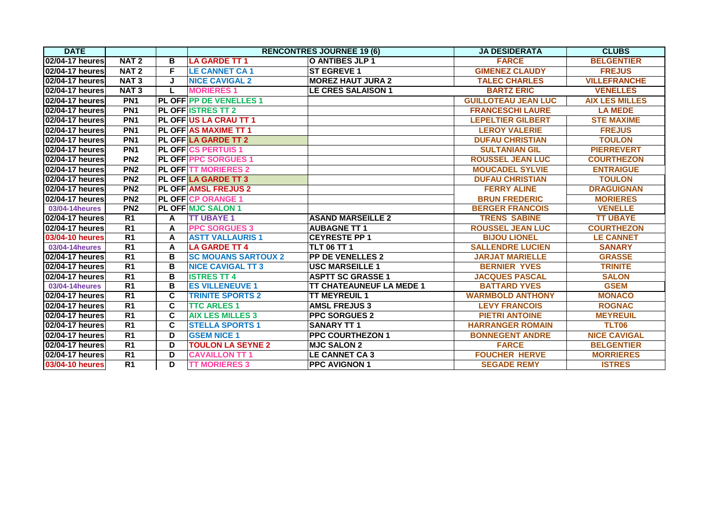| <b>DATE</b>     |                  |                         |                                | <b>RENCONTRES JOURNEE 19 (6)</b> | <b>JA DESIDERATA</b>       | <b>CLUBS</b>          |
|-----------------|------------------|-------------------------|--------------------------------|----------------------------------|----------------------------|-----------------------|
| 02/04-17 heures | NAT <sub>2</sub> | B                       | <b>LA GARDE TT 1</b>           | O ANTIBES JLP 1                  | <b>FARCE</b>               | <b>BELGENTIER</b>     |
| 02/04-17 heures | NAT <sub>2</sub> | F                       | <b>LE CANNET CA1</b>           | <b>ST EGREVE 1</b>               | <b>GIMENEZ CLAUDY</b>      | <b>FREJUS</b>         |
| 02/04-17 heures | <b>NAT3</b>      | J                       | <b>NICE CAVIGAL 2</b>          | <b>MOREZ HAUT JURA 2</b>         | <b>TALEC CHARLES</b>       | <b>VILLEFRANCHE</b>   |
| 02/04-17 heures | <b>NAT3</b>      | L                       | <b>MORIERES 1</b>              | <b>LE CRES SALAISON 1</b>        | <b>BARTZ ERIC</b>          | <b>VENELLES</b>       |
| 02/04-17 heures | PN <sub>1</sub>  |                         | <b>PL OFF PP DE VENELLES 1</b> |                                  | <b>GUILLOTEAU JEAN LUC</b> | <b>AIX LES MILLES</b> |
| 02/04-17 heures | PN <sub>1</sub>  |                         | <b>PL OFF ISTRES TT 2</b>      |                                  | <b>FRANCESCHI LAURE</b>    | <b>LA MEDE</b>        |
| 02/04-17 heures | PN <sub>1</sub>  |                         | PL OFF US LA CRAU TT 1         |                                  | <b>LEPELTIER GILBERT</b>   | <b>STE MAXIME</b>     |
| 02/04-17 heures | PN <sub>1</sub>  |                         | <b>PL OFFIAS MAXIME TT 1</b>   |                                  | <b>LEROY VALERIE</b>       | <b>FREJUS</b>         |
| 02/04-17 heures | PN <sub>1</sub>  |                         | <b>PL OFFILA GARDE TT 2</b>    |                                  | <b>DUFAU CHRISTIAN</b>     | <b>TOULON</b>         |
| 02/04-17 heures | PN <sub>1</sub>  |                         | <b>PL OFF CS PERTUIS 1</b>     |                                  | <b>SULTANIAN GIL</b>       | <b>PIERREVERT</b>     |
| 02/04-17 heures | PN <sub>2</sub>  |                         | <b>PL OFF PPC SORGUES 1</b>    |                                  | <b>ROUSSEL JEAN LUC</b>    | <b>COURTHEZON</b>     |
| 02/04-17 heures | PN <sub>2</sub>  |                         | <b>PL OFFITT MORIERES 2</b>    |                                  | <b>MOUCADEL SYLVIE</b>     | <b>ENTRAIGUE</b>      |
| 02/04-17 heures | PN <sub>2</sub>  |                         | <b>PL OFF LA GARDE TT 3</b>    |                                  | <b>DUFAU CHRISTIAN</b>     | <b>TOULON</b>         |
| 02/04-17 heures | PN <sub>2</sub>  |                         | <b>PL OFF AMSL FREJUS 2</b>    |                                  | <b>FERRY ALINE</b>         | <b>DRAGUIGNAN</b>     |
| 02/04-17 heures | PN <sub>2</sub>  |                         | <b>PL OFF CP ORANGE 1</b>      |                                  | <b>BRUN FREDERIC</b>       | <b>MORIERES</b>       |
| 03/04-14 heures | PN <sub>2</sub>  |                         | <b>PL OFF MJC SALON 1</b>      |                                  | <b>BERGER FRANCOIS</b>     | <b>VENELLE</b>        |
| 02/04-17 heures | R1               | A                       | <b>TT UBAYE 1</b>              | <b>ASAND MARSEILLE 2</b>         | <b>TRENS SABINE</b>        | <b>TT UBAYE</b>       |
| 02/04-17 heures | R <sub>1</sub>   | A                       | <b>PPC SORGUES 3</b>           | <b>AUBAGNE TT 1</b>              | <b>ROUSSEL JEAN LUC</b>    | <b>COURTHEZON</b>     |
| 03/04-10 heures | R <sub>1</sub>   | A                       | <b>ASTT VALLAURIS 1</b>        | <b>CEYRESTE PP 1</b>             | <b>BIJOU LIONEL</b>        | <b>LE CANNET</b>      |
| 03/04-14 heures | R <sub>1</sub>   | A                       | <b>LA GARDE TT 4</b>           | <b>TLT 06 TT 1</b>               | <b>SALLENDRE LUCIEN</b>    | <b>SANARY</b>         |
| 02/04-17 heures | R <sub>1</sub>   | В                       | <b>SC MOUANS SARTOUX 2</b>     | <b>PP DE VENELLES 2</b>          | <b>JARJAT MARIELLE</b>     | <b>GRASSE</b>         |
| 02/04-17 heures | R <sub>1</sub>   | В                       | <b>NICE CAVIGAL TT 3</b>       | <b>USC MARSEILLE 1</b>           | <b>BERNIER YVES</b>        | <b>TRINITE</b>        |
| 02/04-17 heures | R <sub>1</sub>   | B                       | <b>ISTRES TT 4</b>             | <b>ASPTT SC GRASSE 1</b>         | <b>JACQUES PASCAL</b>      | <b>SALON</b>          |
| 03/04-14 heures | $\overline{R1}$  | B                       | <b>ES VILLENEUVE 1</b>         | <b>TT CHATEAUNEUF LA MEDE 1</b>  | <b>BATTARD YVES</b>        | <b>GSEM</b>           |
| 02/04-17 heures | R <sub>1</sub>   | $\overline{\mathbf{c}}$ | <b>TRINITE SPORTS 2</b>        | <b>TT MEYREUIL 1</b>             | <b>WARMBOLD ANTHONY</b>    | <b>MONACO</b>         |
| 02/04-17 heures | R <sub>1</sub>   | C                       | <b>TTC ARLES 1</b>             | <b>AMSL FREJUS 3</b>             | <b>LEVY FRANCOIS</b>       | <b>ROGNAC</b>         |
| 02/04-17 heures | R <sub>1</sub>   | C                       | <b>AIX LES MILLES 3</b>        | <b>PPC SORGUES 2</b>             | <b>PIETRI ANTOINE</b>      | <b>MEYREUIL</b>       |
| 02/04-17 heures | R <sub>1</sub>   | C                       | <b>STELLA SPORTS 1</b>         | <b>SANARY TT1</b>                | <b>HARRANGER ROMAIN</b>    | <b>TLT06</b>          |
| 02/04-17 heures | $\overline{R1}$  | D                       | <b>GSEM NICE 1</b>             | <b>PPC COURTHEZON 1</b>          | <b>BONNEGENT ANDRE</b>     | <b>NICE CAVIGAL</b>   |
| 02/04-17 heures | R <sub>1</sub>   | D                       | <b>TOULON LA SEYNE 2</b>       | <b>MJC SALON 2</b>               | <b>FARCE</b>               | <b>BELGENTIER</b>     |
| 02/04-17 heures | R <sub>1</sub>   | D                       | <b>CAVAILLON TT 1</b>          | <b>LE CANNET CA 3</b>            | <b>FOUCHER HERVE</b>       | <b>MORRIERES</b>      |
| 03/04-10 heures | $\overline{R1}$  | D                       | <b>TT MORIERES 3</b>           | <b>PPC AVIGNON 1</b>             | <b>SEGADE REMY</b>         | <b>ISTRES</b>         |